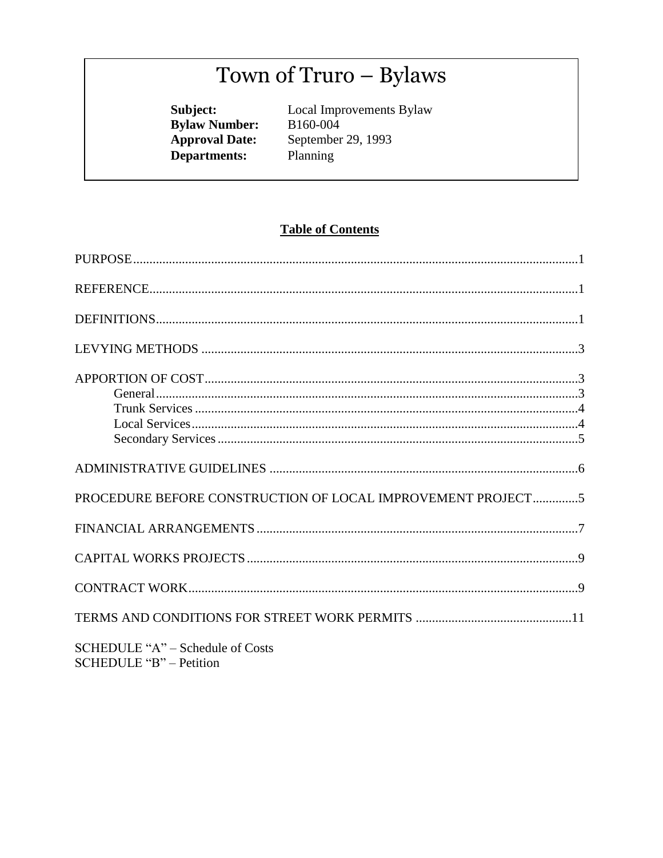# Town of Truro - Bylaws

Subject:<br>Bylaw Number: **Approval Date: Departments:** 

Local Improvements Bylaw B160-004 September 29, 1993 Planning

# **Table of Contents**

| PROCEDURE BEFORE CONSTRUCTION OF LOCAL IMPROVEMENT PROJECT5 |  |
|-------------------------------------------------------------|--|
|                                                             |  |
|                                                             |  |
|                                                             |  |
|                                                             |  |
| SCHEDULE "A" – Schedule of Costs<br>SCHEDULE "B" – Petition |  |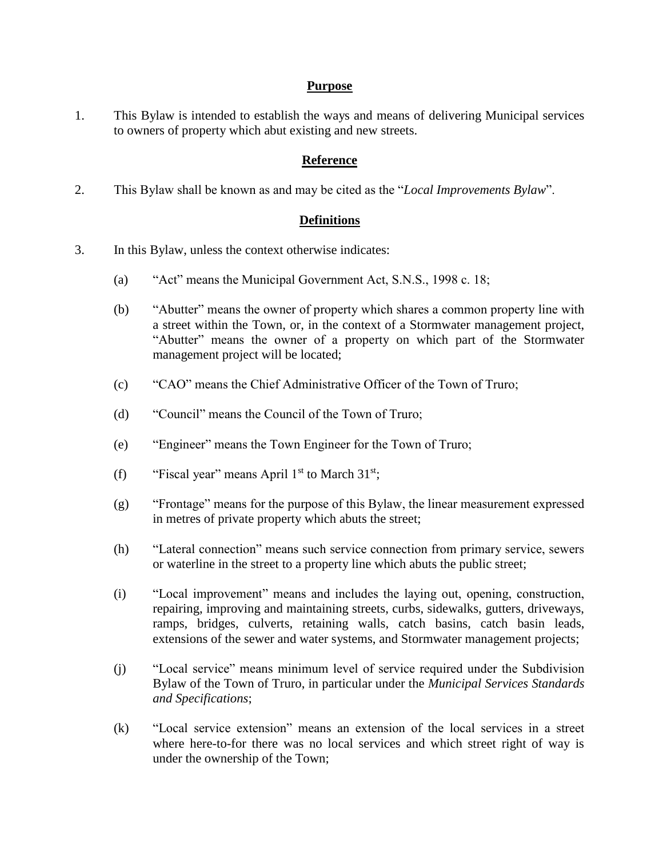#### **Purpose**

1. This Bylaw is intended to establish the ways and means of delivering Municipal services to owners of property which abut existing and new streets.

### **Reference**

2. This Bylaw shall be known as and may be cited as the "*Local Improvements Bylaw*".

### **Definitions**

- 3. In this Bylaw, unless the context otherwise indicates:
	- (a) "Act" means the Municipal Government Act, S.N.S., 1998 c. 18;
	- (b) "Abutter" means the owner of property which shares a common property line with a street within the Town, or, in the context of a Stormwater management project, "Abutter" means the owner of a property on which part of the Stormwater management project will be located;
	- (c) "CAO" means the Chief Administrative Officer of the Town of Truro;
	- (d) "Council" means the Council of the Town of Truro;
	- (e) "Engineer" means the Town Engineer for the Town of Truro;
	- (f) "Fiscal year" means April  $1<sup>st</sup>$  to March  $31<sup>st</sup>$ ;
	- (g) "Frontage" means for the purpose of this Bylaw, the linear measurement expressed in metres of private property which abuts the street;
	- (h) "Lateral connection" means such service connection from primary service, sewers or waterline in the street to a property line which abuts the public street;
	- (i) "Local improvement" means and includes the laying out, opening, construction, repairing, improving and maintaining streets, curbs, sidewalks, gutters, driveways, ramps, bridges, culverts, retaining walls, catch basins, catch basin leads, extensions of the sewer and water systems, and Stormwater management projects;
	- (j) "Local service" means minimum level of service required under the Subdivision Bylaw of the Town of Truro, in particular under the *Municipal Services Standards and Specifications*;
	- (k) "Local service extension" means an extension of the local services in a street where here-to-for there was no local services and which street right of way is under the ownership of the Town;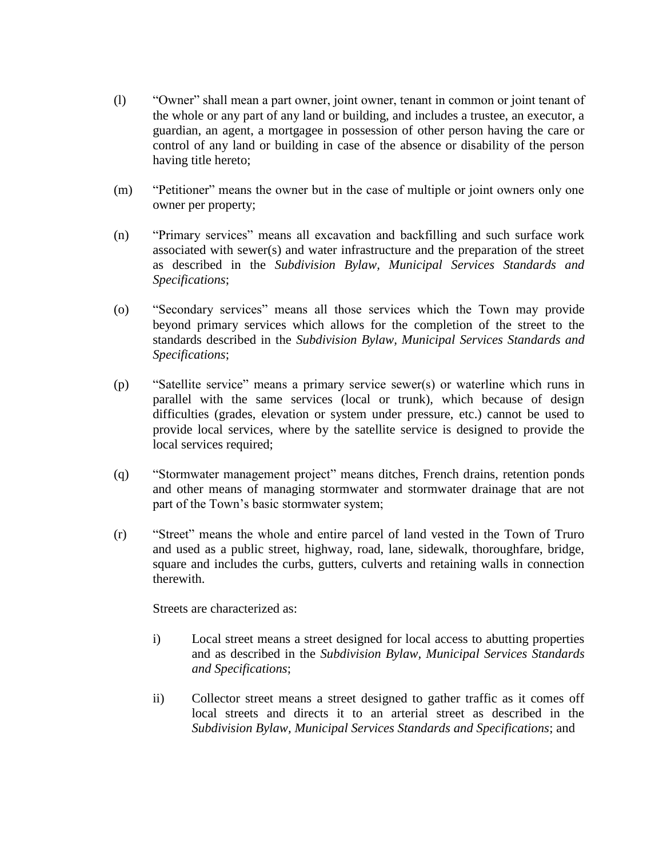- (l) "Owner" shall mean a part owner, joint owner, tenant in common or joint tenant of the whole or any part of any land or building, and includes a trustee, an executor, a guardian, an agent, a mortgagee in possession of other person having the care or control of any land or building in case of the absence or disability of the person having title hereto;
- (m) "Petitioner" means the owner but in the case of multiple or joint owners only one owner per property;
- (n) "Primary services" means all excavation and backfilling and such surface work associated with sewer(s) and water infrastructure and the preparation of the street as described in the *Subdivision Bylaw, Municipal Services Standards and Specifications*;
- (o) "Secondary services" means all those services which the Town may provide beyond primary services which allows for the completion of the street to the standards described in the *Subdivision Bylaw, Municipal Services Standards and Specifications*;
- (p) "Satellite service" means a primary service sewer(s) or waterline which runs in parallel with the same services (local or trunk), which because of design difficulties (grades, elevation or system under pressure, etc.) cannot be used to provide local services, where by the satellite service is designed to provide the local services required;
- (q) "Stormwater management project" means ditches, French drains, retention ponds and other means of managing stormwater and stormwater drainage that are not part of the Town's basic stormwater system;
- (r) "Street" means the whole and entire parcel of land vested in the Town of Truro and used as a public street, highway, road, lane, sidewalk, thoroughfare, bridge, square and includes the curbs, gutters, culverts and retaining walls in connection therewith.

Streets are characterized as:

- i) Local street means a street designed for local access to abutting properties and as described in the *Subdivision Bylaw, Municipal Services Standards and Specifications*;
- ii) Collector street means a street designed to gather traffic as it comes off local streets and directs it to an arterial street as described in the *Subdivision Bylaw, Municipal Services Standards and Specifications*; and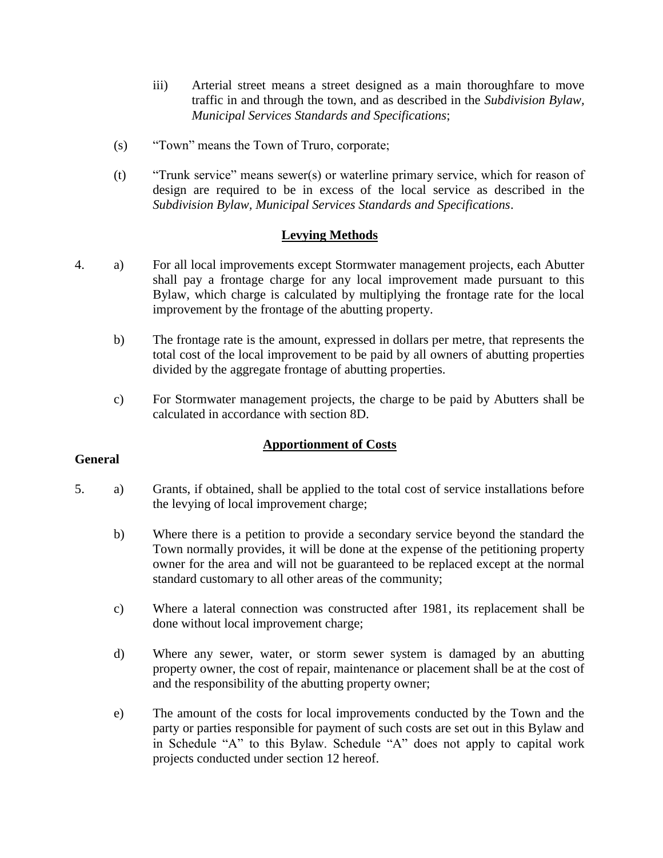- iii) Arterial street means a street designed as a main thoroughfare to move traffic in and through the town, and as described in the *Subdivision Bylaw, Municipal Services Standards and Specifications*;
- (s) "Town" means the Town of Truro, corporate;
- (t) "Trunk service" means sewer(s) or waterline primary service, which for reason of design are required to be in excess of the local service as described in the *Subdivision Bylaw, Municipal Services Standards and Specifications*.

#### **Levying Methods**

- 4. a) For all local improvements except Stormwater management projects, each Abutter shall pay a frontage charge for any local improvement made pursuant to this Bylaw, which charge is calculated by multiplying the frontage rate for the local improvement by the frontage of the abutting property.
	- b) The frontage rate is the amount, expressed in dollars per metre, that represents the total cost of the local improvement to be paid by all owners of abutting properties divided by the aggregate frontage of abutting properties.
	- c) For Stormwater management projects, the charge to be paid by Abutters shall be calculated in accordance with section 8D.

#### **Apportionment of Costs**

#### **General**

- 5. a) Grants, if obtained, shall be applied to the total cost of service installations before the levying of local improvement charge;
	- b) Where there is a petition to provide a secondary service beyond the standard the Town normally provides, it will be done at the expense of the petitioning property owner for the area and will not be guaranteed to be replaced except at the normal standard customary to all other areas of the community;
	- c) Where a lateral connection was constructed after 1981, its replacement shall be done without local improvement charge;
	- d) Where any sewer, water, or storm sewer system is damaged by an abutting property owner, the cost of repair, maintenance or placement shall be at the cost of and the responsibility of the abutting property owner;
	- e) The amount of the costs for local improvements conducted by the Town and the party or parties responsible for payment of such costs are set out in this Bylaw and in Schedule "A" to this Bylaw. Schedule "A" does not apply to capital work projects conducted under section 12 hereof.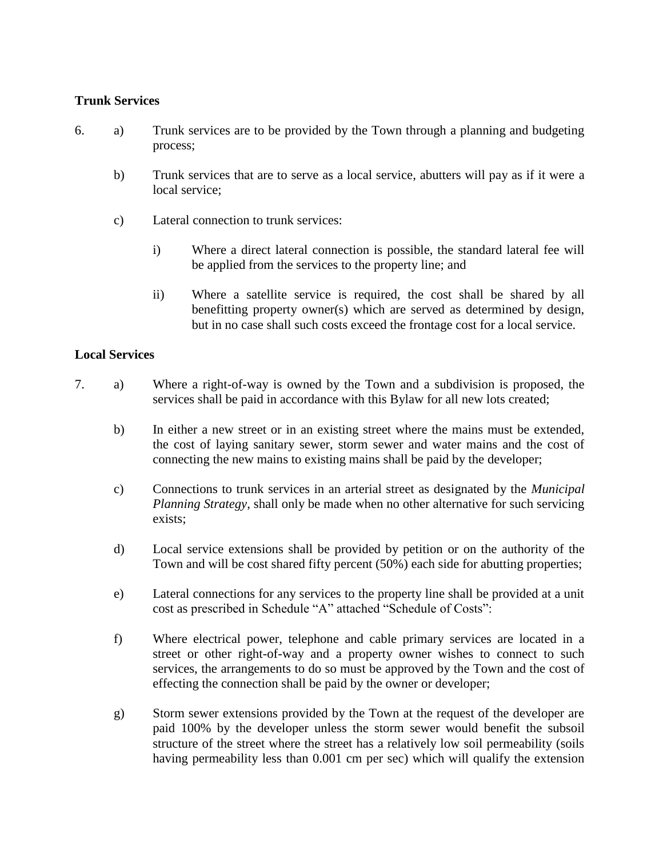#### **Trunk Services**

- 6. a) Trunk services are to be provided by the Town through a planning and budgeting process;
	- b) Trunk services that are to serve as a local service, abutters will pay as if it were a local service;
	- c) Lateral connection to trunk services:
		- i) Where a direct lateral connection is possible, the standard lateral fee will be applied from the services to the property line; and
		- ii) Where a satellite service is required, the cost shall be shared by all benefitting property owner(s) which are served as determined by design, but in no case shall such costs exceed the frontage cost for a local service.

#### **Local Services**

- 7. a) Where a right-of-way is owned by the Town and a subdivision is proposed, the services shall be paid in accordance with this Bylaw for all new lots created;
	- b) In either a new street or in an existing street where the mains must be extended, the cost of laying sanitary sewer, storm sewer and water mains and the cost of connecting the new mains to existing mains shall be paid by the developer;
	- c) Connections to trunk services in an arterial street as designated by the *Municipal Planning Strategy*, shall only be made when no other alternative for such servicing exists;
	- d) Local service extensions shall be provided by petition or on the authority of the Town and will be cost shared fifty percent (50%) each side for abutting properties;
	- e) Lateral connections for any services to the property line shall be provided at a unit cost as prescribed in Schedule "A" attached "Schedule of Costs":
	- f) Where electrical power, telephone and cable primary services are located in a street or other right-of-way and a property owner wishes to connect to such services, the arrangements to do so must be approved by the Town and the cost of effecting the connection shall be paid by the owner or developer;
	- g) Storm sewer extensions provided by the Town at the request of the developer are paid 100% by the developer unless the storm sewer would benefit the subsoil structure of the street where the street has a relatively low soil permeability (soils having permeability less than 0.001 cm per sec) which will qualify the extension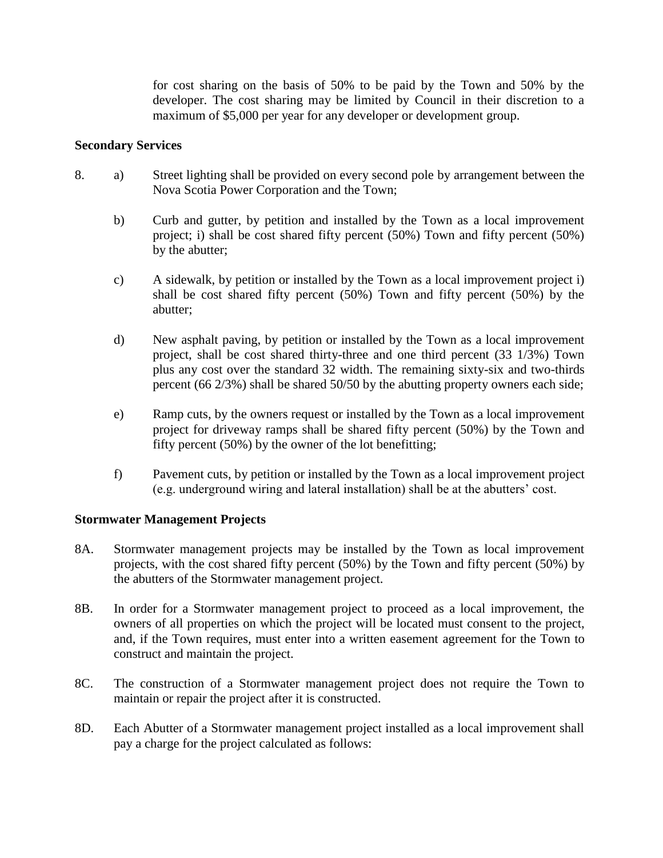for cost sharing on the basis of 50% to be paid by the Town and 50% by the developer. The cost sharing may be limited by Council in their discretion to a maximum of \$5,000 per year for any developer or development group.

#### **Secondary Services**

- 8. a) Street lighting shall be provided on every second pole by arrangement between the Nova Scotia Power Corporation and the Town;
	- b) Curb and gutter, by petition and installed by the Town as a local improvement project; i) shall be cost shared fifty percent (50%) Town and fifty percent (50%) by the abutter;
	- c) A sidewalk, by petition or installed by the Town as a local improvement project i) shall be cost shared fifty percent (50%) Town and fifty percent (50%) by the abutter;
	- d) New asphalt paving, by petition or installed by the Town as a local improvement project, shall be cost shared thirty-three and one third percent (33 1/3%) Town plus any cost over the standard 32 width. The remaining sixty-six and two-thirds percent (66 2/3%) shall be shared 50/50 by the abutting property owners each side;
	- e) Ramp cuts, by the owners request or installed by the Town as a local improvement project for driveway ramps shall be shared fifty percent (50%) by the Town and fifty percent (50%) by the owner of the lot benefitting;
	- f) Pavement cuts, by petition or installed by the Town as a local improvement project (e.g. underground wiring and lateral installation) shall be at the abutters' cost.

#### **Stormwater Management Projects**

- 8A. Stormwater management projects may be installed by the Town as local improvement projects, with the cost shared fifty percent (50%) by the Town and fifty percent (50%) by the abutters of the Stormwater management project.
- 8B. In order for a Stormwater management project to proceed as a local improvement, the owners of all properties on which the project will be located must consent to the project, and, if the Town requires, must enter into a written easement agreement for the Town to construct and maintain the project.
- 8C. The construction of a Stormwater management project does not require the Town to maintain or repair the project after it is constructed.
- 8D. Each Abutter of a Stormwater management project installed as a local improvement shall pay a charge for the project calculated as follows: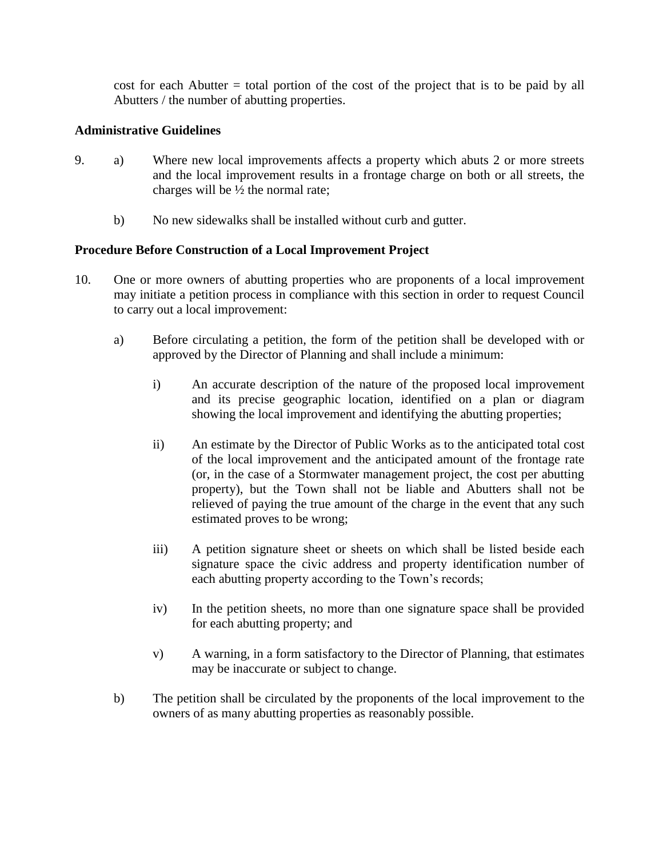cost for each Abutter = total portion of the cost of the project that is to be paid by all Abutters / the number of abutting properties.

#### **Administrative Guidelines**

- 9. a) Where new local improvements affects a property which abuts 2 or more streets and the local improvement results in a frontage charge on both or all streets, the charges will be  $\frac{1}{2}$  the normal rate;
	- b) No new sidewalks shall be installed without curb and gutter.

#### **Procedure Before Construction of a Local Improvement Project**

- 10. One or more owners of abutting properties who are proponents of a local improvement may initiate a petition process in compliance with this section in order to request Council to carry out a local improvement:
	- a) Before circulating a petition, the form of the petition shall be developed with or approved by the Director of Planning and shall include a minimum:
		- i) An accurate description of the nature of the proposed local improvement and its precise geographic location, identified on a plan or diagram showing the local improvement and identifying the abutting properties;
		- ii) An estimate by the Director of Public Works as to the anticipated total cost of the local improvement and the anticipated amount of the frontage rate (or, in the case of a Stormwater management project, the cost per abutting property), but the Town shall not be liable and Abutters shall not be relieved of paying the true amount of the charge in the event that any such estimated proves to be wrong;
		- iii) A petition signature sheet or sheets on which shall be listed beside each signature space the civic address and property identification number of each abutting property according to the Town's records;
		- iv) In the petition sheets, no more than one signature space shall be provided for each abutting property; and
		- v) A warning, in a form satisfactory to the Director of Planning, that estimates may be inaccurate or subject to change.
	- b) The petition shall be circulated by the proponents of the local improvement to the owners of as many abutting properties as reasonably possible.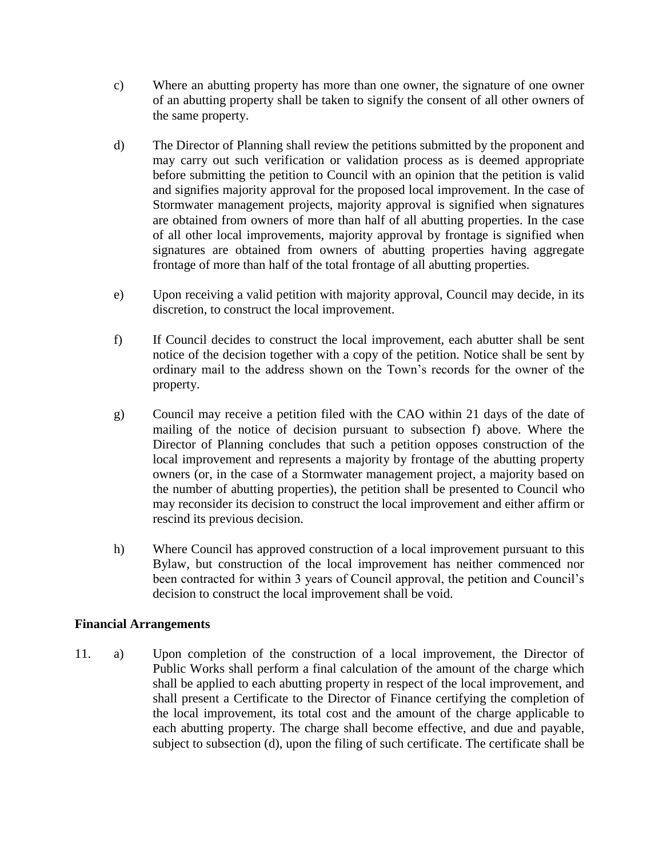- c) Where an abutting property has more than one owner, the signature of one owner of an abutting property shall be taken to signify the consent of all other owners of the same property.
- d) The Director of Planning shall review the petitions submitted by the proponent and may carry out such verification or validation process as is deemed appropriate before submitting the petition to Council with an opinion that the petition is valid and signifies majority approval for the proposed local improvement. In the case of Stormwater management projects, majority approval is signified when signatures are obtained from owners of more than half of all abutting properties. In the case of all other local improvements, majority approval by frontage is signified when signatures are obtained from owners of abutting properties having aggregate frontage of more than half of the total frontage of all abutting properties.
- e) Upon receiving a valid petition with majority approval, Council may decide, in its discretion, to construct the local improvement.
- f) If Council decides to construct the local improvement, each abutter shall be sent notice of the decision together with a copy of the petition. Notice shall be sent by ordinary mail to the address shown on the Town's records for the owner of the property.
- g) Council may receive a petition filed with the CAO within 21 days of the date of mailing of the notice of decision pursuant to subsection f) above. Where the Director of Planning concludes that such a petition opposes construction of the local improvement and represents a majority by frontage of the abutting property owners (or, in the case of a Stormwater management project, a majority based on the number of abutting properties), the petition shall be presented to Council who may reconsider its decision to construct the local improvement and either affirm or rescind its previous decision.
- h) Where Council has approved construction of a local improvement pursuant to this Bylaw, but construction of the local improvement has neither commenced nor been contracted for within 3 years of Council approval, the petition and Council's decision to construct the local improvement shall be void.

#### **Financial Arrangements**

11. a) Upon completion of the construction of a local improvement, the Director of Public Works shall perform a final calculation of the amount of the charge which shall be applied to each abutting property in respect of the local improvement, and shall present a Certificate to the Director of Finance certifying the completion of the local improvement, its total cost and the amount of the charge applicable to each abutting property. The charge shall become effective, and due and payable, subject to subsection (d), upon the filing of such certificate. The certificate shall be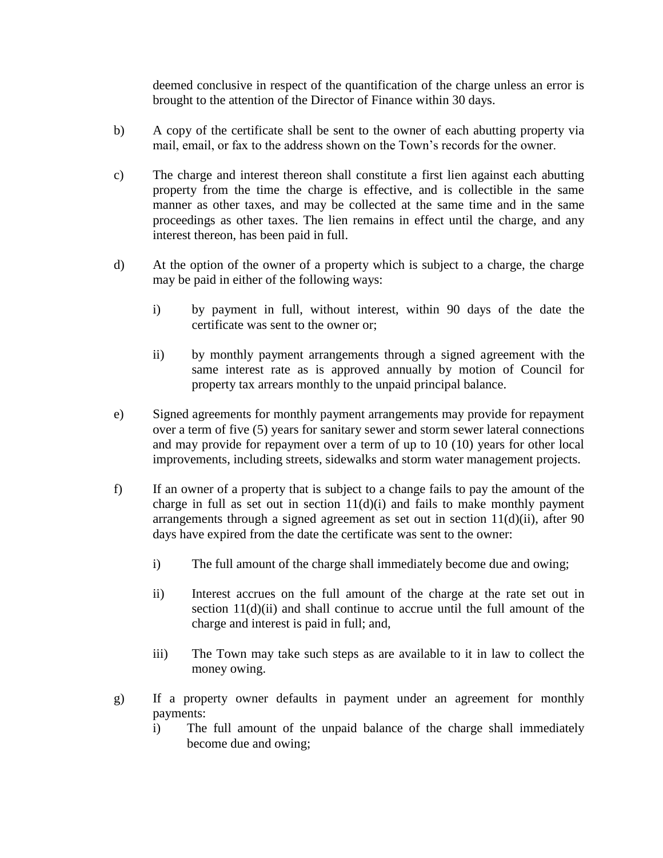deemed conclusive in respect of the quantification of the charge unless an error is brought to the attention of the Director of Finance within 30 days.

- b) A copy of the certificate shall be sent to the owner of each abutting property via mail, email, or fax to the address shown on the Town's records for the owner.
- c) The charge and interest thereon shall constitute a first lien against each abutting property from the time the charge is effective, and is collectible in the same manner as other taxes, and may be collected at the same time and in the same proceedings as other taxes. The lien remains in effect until the charge, and any interest thereon, has been paid in full.
- d) At the option of the owner of a property which is subject to a charge, the charge may be paid in either of the following ways:
	- i) by payment in full, without interest, within 90 days of the date the certificate was sent to the owner or;
	- ii) by monthly payment arrangements through a signed agreement with the same interest rate as is approved annually by motion of Council for property tax arrears monthly to the unpaid principal balance.
- e) Signed agreements for monthly payment arrangements may provide for repayment over a term of five (5) years for sanitary sewer and storm sewer lateral connections and may provide for repayment over a term of up to 10 (10) years for other local improvements, including streets, sidewalks and storm water management projects.
- f) If an owner of a property that is subject to a change fails to pay the amount of the charge in full as set out in section  $11(d)(i)$  and fails to make monthly payment arrangements through a signed agreement as set out in section  $11(d)(ii)$ , after 90 days have expired from the date the certificate was sent to the owner:
	- i) The full amount of the charge shall immediately become due and owing;
	- ii) Interest accrues on the full amount of the charge at the rate set out in section 11(d)(ii) and shall continue to accrue until the full amount of the charge and interest is paid in full; and,
	- iii) The Town may take such steps as are available to it in law to collect the money owing.
- g) If a property owner defaults in payment under an agreement for monthly payments:
	- i) The full amount of the unpaid balance of the charge shall immediately become due and owing;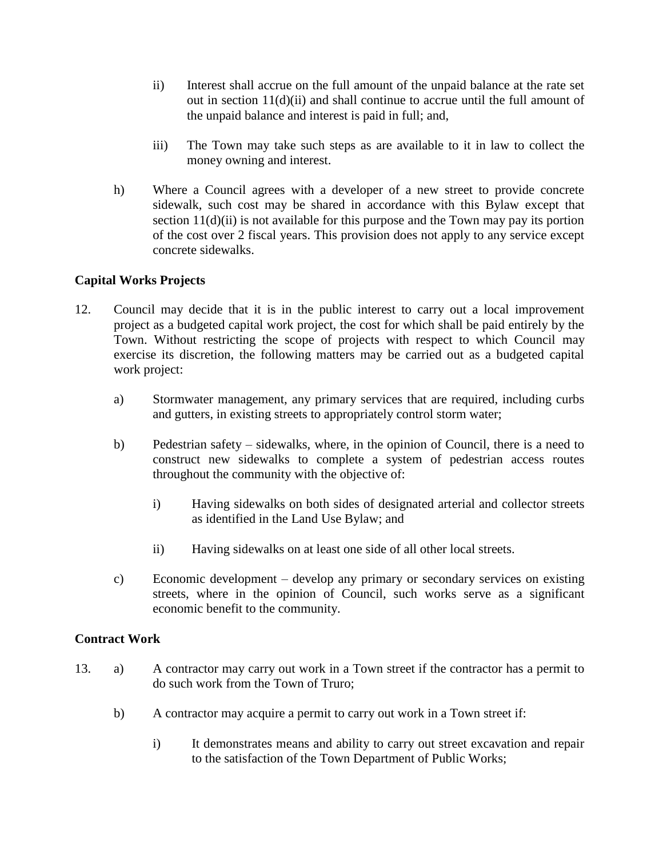- ii) Interest shall accrue on the full amount of the unpaid balance at the rate set out in section 11(d)(ii) and shall continue to accrue until the full amount of the unpaid balance and interest is paid in full; and,
- iii) The Town may take such steps as are available to it in law to collect the money owning and interest.
- h) Where a Council agrees with a developer of a new street to provide concrete sidewalk, such cost may be shared in accordance with this Bylaw except that section 11(d)(ii) is not available for this purpose and the Town may pay its portion of the cost over 2 fiscal years. This provision does not apply to any service except concrete sidewalks.

### **Capital Works Projects**

- 12. Council may decide that it is in the public interest to carry out a local improvement project as a budgeted capital work project, the cost for which shall be paid entirely by the Town. Without restricting the scope of projects with respect to which Council may exercise its discretion, the following matters may be carried out as a budgeted capital work project:
	- a) Stormwater management, any primary services that are required, including curbs and gutters, in existing streets to appropriately control storm water;
	- b) Pedestrian safety sidewalks, where, in the opinion of Council, there is a need to construct new sidewalks to complete a system of pedestrian access routes throughout the community with the objective of:
		- i) Having sidewalks on both sides of designated arterial and collector streets as identified in the Land Use Bylaw; and
		- ii) Having sidewalks on at least one side of all other local streets.
	- c) Economic development develop any primary or secondary services on existing streets, where in the opinion of Council, such works serve as a significant economic benefit to the community.

#### **Contract Work**

- 13. a) A contractor may carry out work in a Town street if the contractor has a permit to do such work from the Town of Truro;
	- b) A contractor may acquire a permit to carry out work in a Town street if:
		- i) It demonstrates means and ability to carry out street excavation and repair to the satisfaction of the Town Department of Public Works;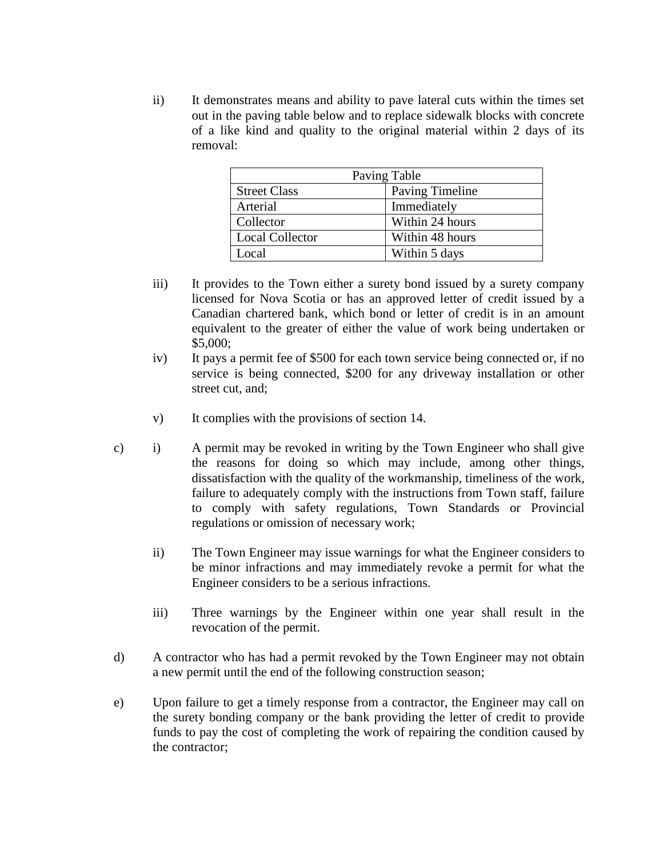ii) It demonstrates means and ability to pave lateral cuts within the times set out in the paving table below and to replace sidewalk blocks with concrete of a like kind and quality to the original material within 2 days of its removal:

| Paving Table           |                        |  |  |
|------------------------|------------------------|--|--|
| <b>Street Class</b>    | <b>Paving Timeline</b> |  |  |
| Arterial               | Immediately            |  |  |
| Collector              | Within 24 hours        |  |  |
| <b>Local Collector</b> | Within 48 hours        |  |  |
| Local                  | Within 5 days          |  |  |

- iii) It provides to the Town either a surety bond issued by a surety company licensed for Nova Scotia or has an approved letter of credit issued by a Canadian chartered bank, which bond or letter of credit is in an amount equivalent to the greater of either the value of work being undertaken or \$5,000;
- iv) It pays a permit fee of \$500 for each town service being connected or, if no service is being connected, \$200 for any driveway installation or other street cut, and;
- v) It complies with the provisions of section 14.
- c) i) A permit may be revoked in writing by the Town Engineer who shall give the reasons for doing so which may include, among other things, dissatisfaction with the quality of the workmanship, timeliness of the work, failure to adequately comply with the instructions from Town staff, failure to comply with safety regulations, Town Standards or Provincial regulations or omission of necessary work;
	- ii) The Town Engineer may issue warnings for what the Engineer considers to be minor infractions and may immediately revoke a permit for what the Engineer considers to be a serious infractions.
	- iii) Three warnings by the Engineer within one year shall result in the revocation of the permit.
- d) A contractor who has had a permit revoked by the Town Engineer may not obtain a new permit until the end of the following construction season;
- e) Upon failure to get a timely response from a contractor, the Engineer may call on the surety bonding company or the bank providing the letter of credit to provide funds to pay the cost of completing the work of repairing the condition caused by the contractor;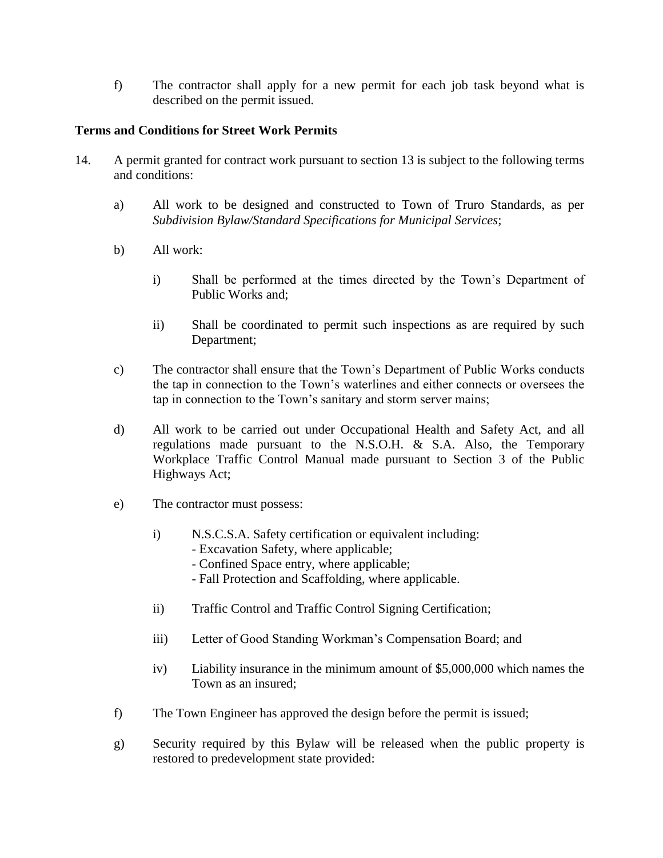f) The contractor shall apply for a new permit for each job task beyond what is described on the permit issued.

#### **Terms and Conditions for Street Work Permits**

- 14. A permit granted for contract work pursuant to section 13 is subject to the following terms and conditions:
	- a) All work to be designed and constructed to Town of Truro Standards, as per *Subdivision Bylaw/Standard Specifications for Municipal Services*;
	- b) All work:
		- i) Shall be performed at the times directed by the Town's Department of Public Works and;
		- ii) Shall be coordinated to permit such inspections as are required by such Department;
	- c) The contractor shall ensure that the Town's Department of Public Works conducts the tap in connection to the Town's waterlines and either connects or oversees the tap in connection to the Town's sanitary and storm server mains;
	- d) All work to be carried out under Occupational Health and Safety Act, and all regulations made pursuant to the N.S.O.H. & S.A. Also, the Temporary Workplace Traffic Control Manual made pursuant to Section 3 of the Public Highways Act;
	- e) The contractor must possess:
		- i) N.S.C.S.A. Safety certification or equivalent including:
			- Excavation Safety, where applicable;
			- Confined Space entry, where applicable;
			- Fall Protection and Scaffolding, where applicable.
		- ii) Traffic Control and Traffic Control Signing Certification;
		- iii) Letter of Good Standing Workman's Compensation Board; and
		- iv) Liability insurance in the minimum amount of \$5,000,000 which names the Town as an insured;
	- f) The Town Engineer has approved the design before the permit is issued;
	- g) Security required by this Bylaw will be released when the public property is restored to predevelopment state provided: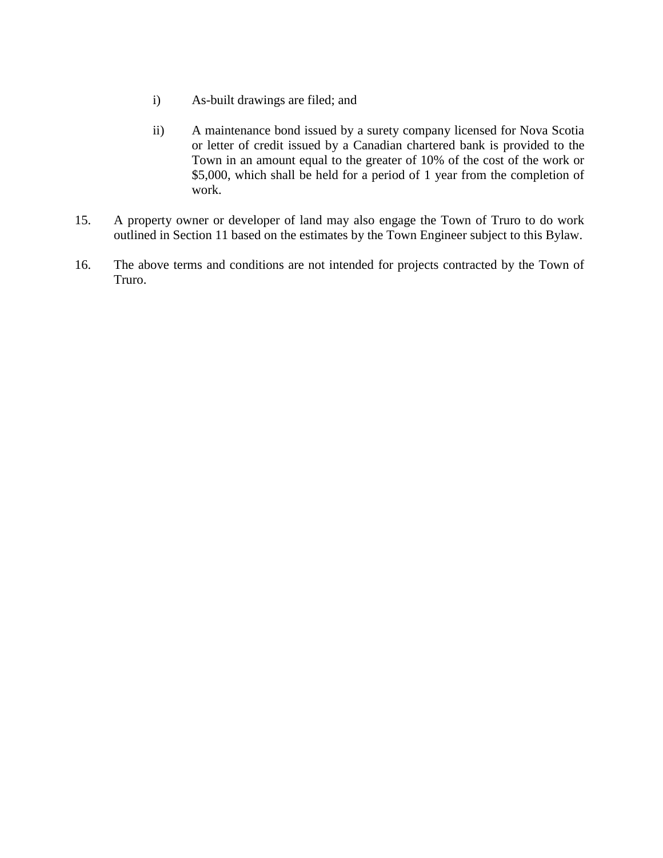- i) As-built drawings are filed; and
- ii) A maintenance bond issued by a surety company licensed for Nova Scotia or letter of credit issued by a Canadian chartered bank is provided to the Town in an amount equal to the greater of 10% of the cost of the work or \$5,000, which shall be held for a period of 1 year from the completion of work.
- 15. A property owner or developer of land may also engage the Town of Truro to do work outlined in Section 11 based on the estimates by the Town Engineer subject to this Bylaw.
- 16. The above terms and conditions are not intended for projects contracted by the Town of Truro.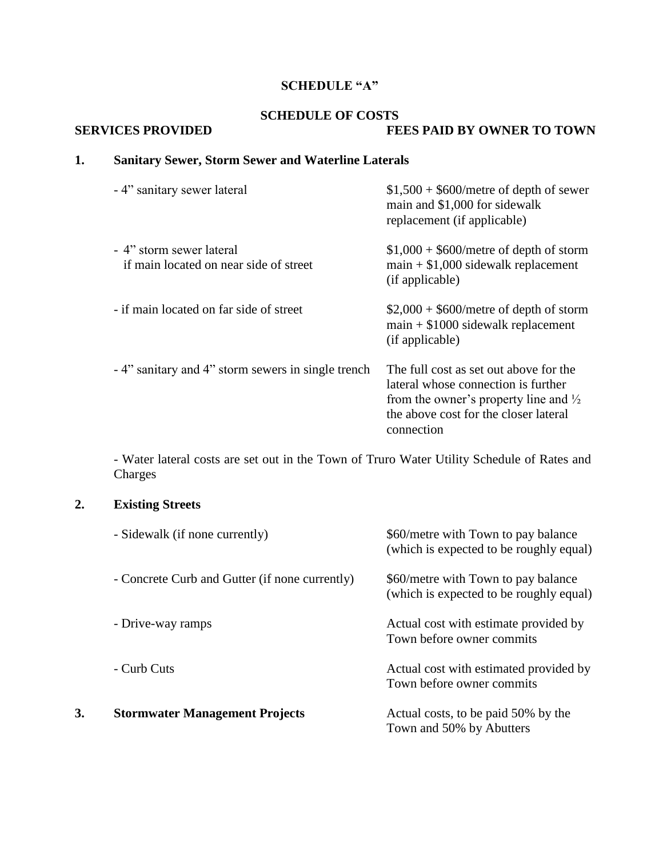# **SCHEDULE "A"**

### **SCHEDULE OF COSTS**

#### **SERVICES PROVIDED FEES PAID BY OWNER TO TOWN**

# **1. Sanitary Sewer, Storm Sewer and Waterline Laterals**

| - 4" sanitary sewer lateral                                        | $$1,500 + $600/m$ etre of depth of sewer<br>main and \$1,000 for sidewalk<br>replacement (if applicable)                                                                                 |
|--------------------------------------------------------------------|------------------------------------------------------------------------------------------------------------------------------------------------------------------------------------------|
| - 4" storm sewer lateral<br>if main located on near side of street | $$1,000 + $600/m$ etre of depth of storm<br>$main + $1,000$ sidewalk replacement<br>(if applicable)                                                                                      |
| - if main located on far side of street                            | $$2,000 + $600/m$ etre of depth of storm<br>$main + $1000$ sidewalk replacement<br>(if applicable)                                                                                       |
| - 4" sanitary and 4" storm sewers in single trench                 | The full cost as set out above for the<br>lateral whose connection is further<br>from the owner's property line and $\frac{1}{2}$<br>the above cost for the closer lateral<br>connection |

- Water lateral costs are set out in the Town of Truro Water Utility Schedule of Rates and Charges

# **2. Existing Streets**

|    | - Sidewalk (if none currently)                 | \$60/metre with Town to pay balance<br>(which is expected to be roughly equal) |
|----|------------------------------------------------|--------------------------------------------------------------------------------|
|    | - Concrete Curb and Gutter (if none currently) | \$60/metre with Town to pay balance<br>(which is expected to be roughly equal) |
|    | - Drive-way ramps                              | Actual cost with estimate provided by<br>Town before owner commits             |
|    | - Curb Cuts                                    | Actual cost with estimated provided by<br>Town before owner commits            |
| 3. | <b>Stormwater Management Projects</b>          | Actual costs, to be paid 50% by the<br>Town and 50% by Abutters                |